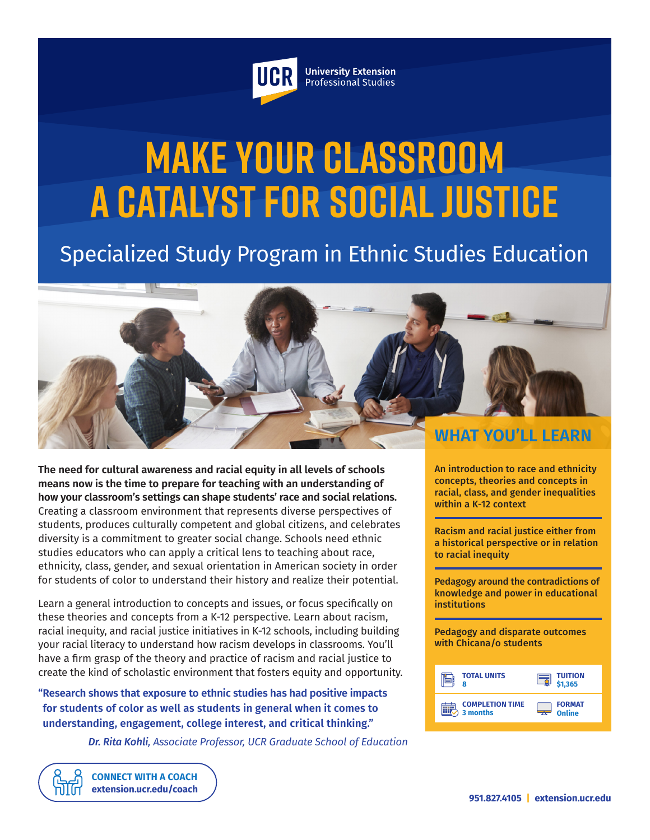

**University Extension** Professional Studies

# **MAKE YOUR CLASSROOM a Catalyst for Social Justice**

# Specialized Study Program in Ethnic Studies Education



**The need for cultural awareness and racial equity in all levels of schools means now is the time to prepare for teaching with an understanding of how your classroom's settings can shape students' race and social relations.** Creating a classroom environment that represents diverse perspectives of students, produces culturally competent and global citizens, and celebrates diversity is a commitment to greater social change. Schools need ethnic studies educators who can apply a critical lens to teaching about race, ethnicity, class, gender, and sexual orientation in American society in order for students of color to understand their history and realize their potential.

Learn a general introduction to concepts and issues, or focus specifically on these theories and concepts from a K-12 perspective. Learn about racism, racial inequity, and racial justice initiatives in K-12 schools, including building your racial literacy to understand how racism develops in classrooms. You'll have a firm grasp of the theory and practice of racism and racial justice to create the kind of scholastic environment that fosters equity and opportunity.

**"Research shows that exposure to ethnic studies has had positive impacts for students of color as well as students in general when it comes to understanding, engagement, college interest, and critical thinking."** 

> **CONNECT WITH A COACH extension.ucr.edu/coach**

*Dr. Rita Kohli, Associate Professor, UCR Graduate School of Education*

An introduction to race and ethnicity concepts, theories and concepts in racial, class, and gender inequalities within a K-12 context

Racism and racial justice either from a historical perspective or in relation to racial inequity

Pedagogy around the contradictions of knowledge and power in educational institutions

Pedagogy and disparate outcomes with Chicana/o students

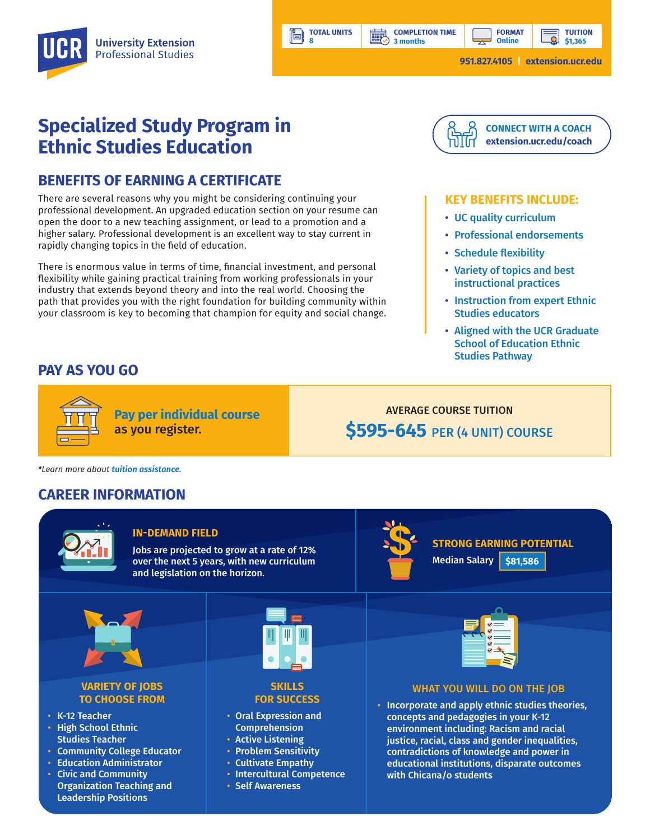**3 months**

讓

**TOTAL UNITS 8**

ľ۸

**TUITION \$1,365**

**FORMAT Online**

# **Specialized Study Program in Ethnic Studies Education**

# **BENEFITS OF EARNING A CERTIFICATE**

There are several reasons why you might be considering continuing your professional development. An upgraded education section on your resume can open the door to a new teaching assignment, or lead to a promotion and a higher salary. Professional development is an excellent way to stay current in rapidly changing topics in the field of education.

There is enormous value in terms of time, financial investment, and personal flexibility while gaining practical training from working professionals in your industry that extends beyond theory and into the real world. Choosing the path that provides you with the right foundation for building community within your classroom is key to becoming that champion for equity and social change.



#### **KEY BENEFITS INCLUDE:**

- UC quality curriculum
- Professional endorsements
- Schedule flexibility
- Variety of topics and best instructional practices
- Instruction from expert Ethnic Studies educators
- Aligned with the UCR Graduate School of Education Ethnic Studies Pathway

### **PAY AS YOU GO**



**Pay per individual course** as you register.

AVERAGE COURSE TUITION **\$595-645** PER (4 UNIT) COURSE

*\*Learn more about tuition assistance.*

## **CAREER INFORMATION**



#### **IN-DEMAND FIELD**

Jobs are projected to grow at a rate of 12% over the next 5 years, with new curriculum and legislation on the horizon.



**STRONG EARNING POTENTIAL** Median Salary **\$81,586**



#### **VARIETY OF JOBS TO CHOOSE FROM**

- K-12 Teacher
- High School Ethnic Studies Teacher
- Community College Educator
- Education Administrator
- Civic and Community Organization Teaching and Leadership Positions



#### **SKILLS FOR SUCCESS**

- Oral Expression and Comprehension
- Active Listening
- Problem Sensitivity
- Cultivate Empathy
- Intercultural Competence
- Self Awareness



#### WHAT YOU WILL DO ON THE JOB

• Incorporate and apply ethnic studies theories, concepts and pedagogies in your K-12 environment including: Racism and racial justice, racial, class and gender inequalities, contradictions of knowledge and power in educational institutions, disparate outcomes with Chicana/o students